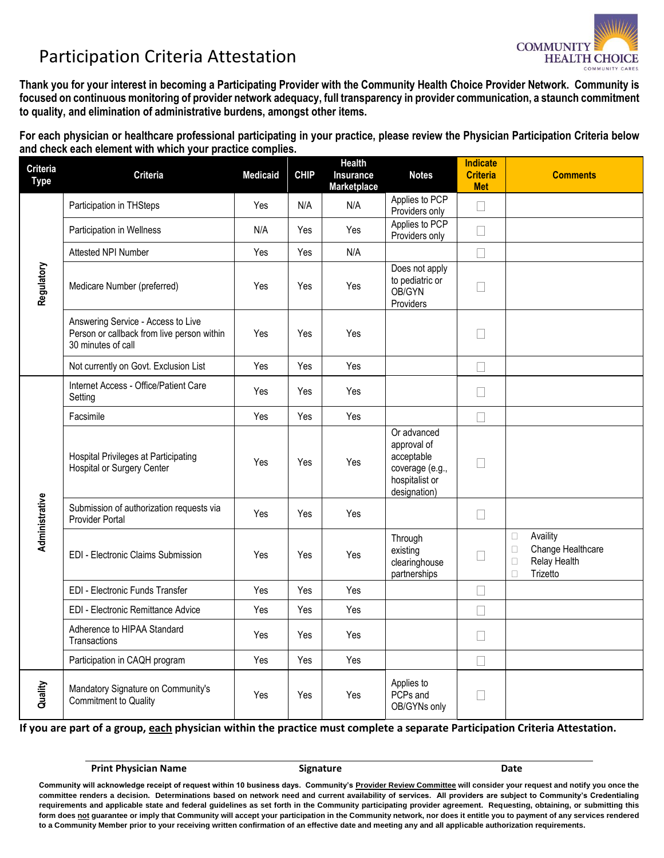## Participation Criteria Attestation



**Thank you for your interest in becoming a Participating Provider with the Community Health Choice Provider Network. Community is focused on continuous monitoring of provider network adequacy, full transparency in provider communication, a staunch commitment to quality, and elimination of administrative burdens, amongst other items.** 

**For each physician or healthcare professional participating in your practice, please review the Physician Participation Criteria below and check each element with which your practice complies.** 

| <b>Criteria</b><br><b>Type</b> | <b>Criteria</b>                                                                                        | <b>Medicaid</b> | <b>CHIP</b> | Health<br>Insurance<br>Marketplace | <b>Notes</b>                                                                                  | <b>Indicate</b><br><b>Criteria</b><br><b>Met</b> | <b>Comments</b>                                                                                          |
|--------------------------------|--------------------------------------------------------------------------------------------------------|-----------------|-------------|------------------------------------|-----------------------------------------------------------------------------------------------|--------------------------------------------------|----------------------------------------------------------------------------------------------------------|
| Regulatory                     | Participation in THSteps                                                                               | Yes             | N/A         | N/A                                | Applies to PCP<br>Providers only                                                              | $\Box$                                           |                                                                                                          |
|                                | Participation in Wellness                                                                              | N/A             | Yes         | Yes                                | Applies to PCP<br>Providers only                                                              | $\Box$                                           |                                                                                                          |
|                                | Attested NPI Number                                                                                    | Yes             | Yes         | N/A                                |                                                                                               | П                                                |                                                                                                          |
|                                | Medicare Number (preferred)                                                                            | Yes             | Yes         | Yes                                | Does not apply<br>to pediatric or<br>OB/GYN<br>Providers                                      | П                                                |                                                                                                          |
|                                | Answering Service - Access to Live<br>Person or callback from live person within<br>30 minutes of call | Yes             | Yes         | Yes                                |                                                                                               | $\overline{\phantom{a}}$                         |                                                                                                          |
|                                | Not currently on Govt. Exclusion List                                                                  | Yes             | Yes         | Yes                                |                                                                                               |                                                  |                                                                                                          |
| Administrative                 | Internet Access - Office/Patient Care<br>Setting                                                       | Yes             | Yes         | Yes                                |                                                                                               | $\mathbf{L}$                                     |                                                                                                          |
|                                | Facsimile                                                                                              | Yes             | Yes         | Yes                                |                                                                                               | $\mathbf{L}$                                     |                                                                                                          |
|                                | Hospital Privileges at Participating<br><b>Hospital or Surgery Center</b>                              | Yes             | Yes         | Yes                                | Or advanced<br>approval of<br>acceptable<br>coverage (e.g.,<br>hospitalist or<br>designation) | П                                                |                                                                                                          |
|                                | Submission of authorization requests via<br><b>Provider Portal</b>                                     | Yes             | Yes         | Yes                                |                                                                                               | $\Box$                                           |                                                                                                          |
|                                | <b>EDI - Electronic Claims Submission</b>                                                              | Yes             | Yes         | Yes                                | Through<br>existing<br>clearinghouse<br>partnerships                                          |                                                  | Availity<br>$\Box$<br>Change Healthcare<br>$\Box$<br><b>Relay Health</b><br>$\Box$<br>Trizetto<br>$\Box$ |
|                                | EDI - Electronic Funds Transfer                                                                        | Yes             | Yes         | Yes                                |                                                                                               | П                                                |                                                                                                          |
|                                | EDI - Electronic Remittance Advice                                                                     | Yes             | Yes         | Yes                                |                                                                                               |                                                  |                                                                                                          |
|                                | Adherence to HIPAA Standard<br>Transactions                                                            | Yes             | Yes         | Yes                                |                                                                                               | $\Box$                                           |                                                                                                          |
|                                | Participation in CAQH program                                                                          | Yes             | Yes         | Yes                                |                                                                                               | $\Box$                                           |                                                                                                          |
| Quality                        | Mandatory Signature on Community's<br>Commitment to Quality                                            | Yes             | Yes         | Yes                                | Applies to<br>PCP <sub>s</sub> and<br>OB/GYNs only                                            |                                                  |                                                                                                          |

**If you are part of a group, each physician within the practice must complete a separate Participation Criteria Attestation.**

**Print Physician Name Signature Signature Community Community Community Community Community Community Community** 

**Community will acknowledge receipt of request within 10 business days. Community's Provider Review Committee will consider your request and notify you once the committee renders a decision. Determinations based on network need and current availability of services. All providers are subject to Community's Credentialing requirements and applicable state and federal guidelines as set forth in the Community participating provider agreement. Requesting, obtaining, or submitting this form does not guarantee or imply that Community will accept your participation in the Community network, nor does it entitle you to payment of any services rendered to a Community Member prior to your receiving written confirmation of an effective date and meeting any and all applicable authorization requirements.**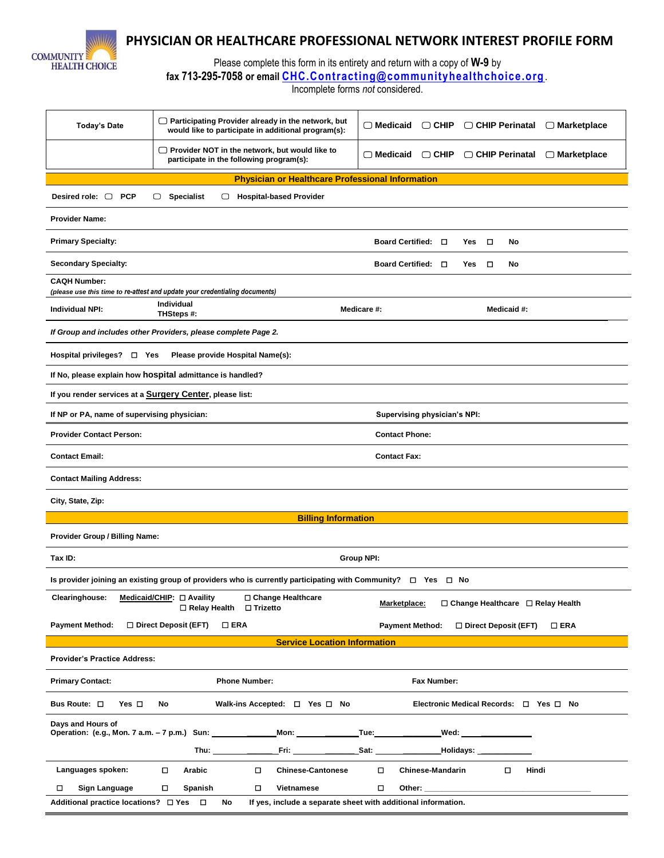

## **PHYSICIAN OR HEALTHCARE PROFESSIONAL NETWORK INTEREST PROFILE FORM**

Please complete this form in its entirety and return with a copy of **W-9** by

**fax 713-295-7058 or email [CHC.Contracting@communityhealthchoice.org](mailto:CHC.Contracting@communityhealthchoice.org)** .

Incomplete forms *not* considered.

| <b>Today's Date</b>                                                                                                                                          | $\Box$ Participating Provider already in the network, but<br>would like to participate in additional program(s):       | $\Box$ Medicaid<br>□ CHIP Perinatal<br>$\Box$ CHIP                      | $\Box$ Marketplace |  |  |  |  |  |
|--------------------------------------------------------------------------------------------------------------------------------------------------------------|------------------------------------------------------------------------------------------------------------------------|-------------------------------------------------------------------------|--------------------|--|--|--|--|--|
|                                                                                                                                                              | $\Box$ Provider NOT in the network, but would like to<br>participate in the following program(s):                      | $\Box$ Medicaid<br>$\Box$ CHIP<br>□ CHIP Perinatal                      | $\Box$ Marketplace |  |  |  |  |  |
|                                                                                                                                                              | <b>Physician or Healthcare Professional Information</b>                                                                |                                                                         |                    |  |  |  |  |  |
| Desired role: $\Box$ PCP<br>$\Box$ Specialist<br><b>Hospital-based Provider</b><br>0                                                                         |                                                                                                                        |                                                                         |                    |  |  |  |  |  |
| <b>Provider Name:</b>                                                                                                                                        |                                                                                                                        |                                                                         |                    |  |  |  |  |  |
| <b>Primary Specialty:</b><br>Board Certified: □<br>□<br>No<br>Yes                                                                                            |                                                                                                                        |                                                                         |                    |  |  |  |  |  |
| <b>Secondary Specialty:</b><br>Board Certified: □<br>Yes<br>□<br>No                                                                                          |                                                                                                                        |                                                                         |                    |  |  |  |  |  |
| <b>CAQH Number:</b>                                                                                                                                          | (please use this time to re-attest and update your credentialing documents)                                            |                                                                         |                    |  |  |  |  |  |
|                                                                                                                                                              | Individual                                                                                                             |                                                                         |                    |  |  |  |  |  |
| Individual NPI:                                                                                                                                              | THSteps #:                                                                                                             | Medicare #:<br>Medicaid #:                                              |                    |  |  |  |  |  |
|                                                                                                                                                              | If Group and includes other Providers, please complete Page 2.                                                         |                                                                         |                    |  |  |  |  |  |
| Hospital privileges? □ Yes<br>Please provide Hospital Name(s):                                                                                               |                                                                                                                        |                                                                         |                    |  |  |  |  |  |
|                                                                                                                                                              | If No, please explain how hospital admittance is handled?                                                              |                                                                         |                    |  |  |  |  |  |
| If you render services at a Surgery Center, please list:                                                                                                     |                                                                                                                        |                                                                         |                    |  |  |  |  |  |
| If NP or PA, name of supervising physician:<br><b>Supervising physician's NPI:</b>                                                                           |                                                                                                                        |                                                                         |                    |  |  |  |  |  |
| <b>Provider Contact Person:</b>                                                                                                                              |                                                                                                                        | <b>Contact Phone:</b>                                                   |                    |  |  |  |  |  |
| <b>Contact Email:</b><br><b>Contact Fax:</b>                                                                                                                 |                                                                                                                        |                                                                         |                    |  |  |  |  |  |
| <b>Contact Mailing Address:</b>                                                                                                                              |                                                                                                                        |                                                                         |                    |  |  |  |  |  |
| City, State, Zip:                                                                                                                                            |                                                                                                                        |                                                                         |                    |  |  |  |  |  |
|                                                                                                                                                              | <b>Billing Information</b>                                                                                             |                                                                         |                    |  |  |  |  |  |
| Provider Group / Billing Name:                                                                                                                               |                                                                                                                        |                                                                         |                    |  |  |  |  |  |
| Tax ID:<br>Group NPI:                                                                                                                                        |                                                                                                                        |                                                                         |                    |  |  |  |  |  |
|                                                                                                                                                              | Is provider joining an existing group of providers who is currently participating with Community? $\Box$ Yes $\Box$ No |                                                                         |                    |  |  |  |  |  |
| <b>Clearinghouse:</b>                                                                                                                                        | Medicaid/CHIP: $\Box$ Availity<br>□ Change Healthcare<br>$\Box$ Relay Health<br>$\Box$ Trizetto                        | $\Box$ Change Healthcare $\Box$ Relay Health<br><b>Marketplace:</b>     |                    |  |  |  |  |  |
| <b>Payment Method:</b>                                                                                                                                       | $\Box$ Direct Deposit (EFT)<br>$\square$ ERA                                                                           | <b>Payment Method:</b><br>$\Box$ Direct Deposit (EFT)<br>$\square$ ERA  |                    |  |  |  |  |  |
|                                                                                                                                                              | <b>Service Location Information</b>                                                                                    |                                                                         |                    |  |  |  |  |  |
| <b>Provider's Practice Address:</b>                                                                                                                          |                                                                                                                        |                                                                         |                    |  |  |  |  |  |
| <b>Primary Contact:</b>                                                                                                                                      | <b>Phone Number:</b>                                                                                                   | Fax Number:                                                             |                    |  |  |  |  |  |
| Bus Route: □<br>Electronic Medical Records: □ Yes □ No<br>Yes □<br>No<br>Walk-ins Accepted: $\Box$ Yes $\Box$ No                                             |                                                                                                                        |                                                                         |                    |  |  |  |  |  |
| Days and Hours of<br>Operation: (e.g., Mon. 7 a.m. - 7 p.m.) Sun: ______________Mon: _____________Tue: _________________Wed: _______________________________ |                                                                                                                        |                                                                         |                    |  |  |  |  |  |
|                                                                                                                                                              | Thu: _______                                                                                                           | <u>Fri: __________________Sat: ____________________Holidays: ______</u> |                    |  |  |  |  |  |
| Languages spoken:                                                                                                                                            | <b>Chinese-Cantonese</b><br>П<br>Arabic<br>$\Box$                                                                      | O.<br><b>Chinese-Mandarin</b>                                           | Hindi              |  |  |  |  |  |
| Sign Language<br>Spanish<br>Vietnamese<br>□<br>П.<br>П<br>П                                                                                                  |                                                                                                                        |                                                                         |                    |  |  |  |  |  |
| Additional practice locations? □ Yes □<br>No<br>If yes, include a separate sheet with additional information.                                                |                                                                                                                        |                                                                         |                    |  |  |  |  |  |